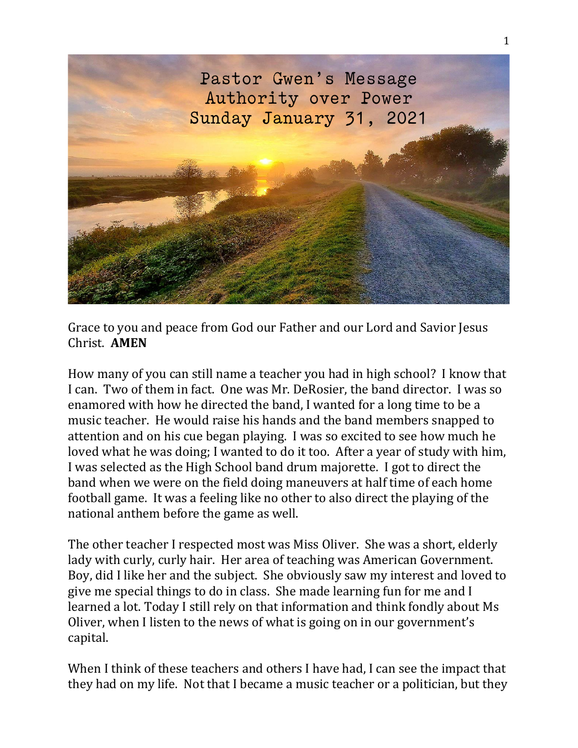

Grace to you and peace from God our Father and our Lord and Savior Jesus Christ. **AMEN**

How many of you can still name a teacher you had in high school? I know that I can. Two of them in fact. One was Mr. DeRosier, the band director. I was so enamored with how he directed the band, I wanted for a long time to be a music teacher. He would raise his hands and the band members snapped to attention and on his cue began playing. I was so excited to see how much he loved what he was doing; I wanted to do it too. After a year of study with him, I was selected as the High School band drum majorette. I got to direct the band when we were on the field doing maneuvers at half time of each home football game. It was a feeling like no other to also direct the playing of the national anthem before the game as well.

The other teacher I respected most was Miss Oliver. She was a short, elderly lady with curly, curly hair. Her area of teaching was American Government. Boy, did I like her and the subject. She obviously saw my interest and loved to give me special things to do in class. She made learning fun for me and I learned a lot. Today I still rely on that information and think fondly about Ms Oliver, when I listen to the news of what is going on in our government's capital.

When I think of these teachers and others I have had, I can see the impact that they had on my life. Not that I became a music teacher or a politician, but they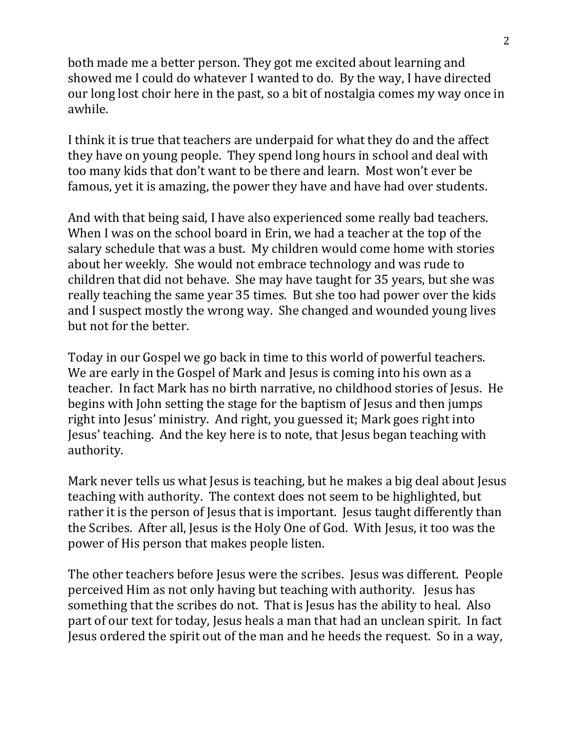both made me a better person. They got me excited about learning and showed me I could do whatever I wanted to do. By the way, I have directed our long lost choir here in the past, so a bit of nostalgia comes my way once in awhile.

I think it is true that teachers are underpaid for what they do and the affect they have on young people. They spend long hours in school and deal with too many kids that don't want to be there and learn. Most won't ever be famous, yet it is amazing, the power they have and have had over students.

And with that being said, I have also experienced some really bad teachers. When I was on the school board in Erin, we had a teacher at the top of the salary schedule that was a bust. My children would come home with stories about her weekly. She would not embrace technology and was rude to children that did not behave. She may have taught for 35 years, but she was really teaching the same year 35 times. But she too had power over the kids and I suspect mostly the wrong way. She changed and wounded young lives but not for the better.

Today in our Gospel we go back in time to this world of powerful teachers. We are early in the Gospel of Mark and Jesus is coming into his own as a teacher. In fact Mark has no birth narrative, no childhood stories of Jesus. He begins with John setting the stage for the baptism of Jesus and then jumps right into Jesus' ministry. And right, you guessed it; Mark goes right into Jesus' teaching. And the key here is to note, that Jesus began teaching with authority.

Mark never tells us what Jesus is teaching, but he makes a big deal about Jesus teaching with authority. The context does not seem to be highlighted, but rather it is the person of Jesus that is important. Jesus taught differently than the Scribes. After all, Jesus is the Holy One of God. With Jesus, it too was the power of His person that makes people listen.

The other teachers before Jesus were the scribes. Jesus was different. People perceived Him as not only having but teaching with authority. Jesus has something that the scribes do not. That is Jesus has the ability to heal. Also part of our text for today, Jesus heals a man that had an unclean spirit. In fact Jesus ordered the spirit out of the man and he heeds the request. So in a way,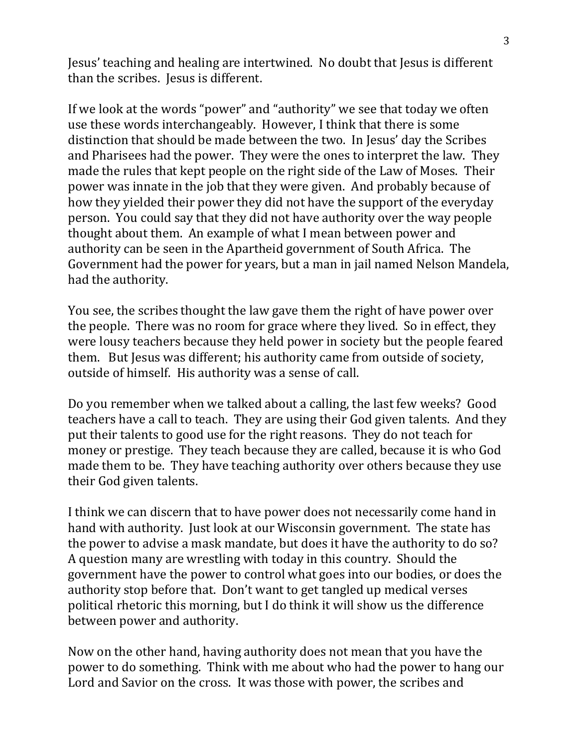Jesus' teaching and healing are intertwined. No doubt that Jesus is different than the scribes. Jesus is different.

If we look at the words "power" and "authority" we see that today we often use these words interchangeably. However, I think that there is some distinction that should be made between the two. In Jesus' day the Scribes and Pharisees had the power. They were the ones to interpret the law. They made the rules that kept people on the right side of the Law of Moses. Their power was innate in the job that they were given. And probably because of how they yielded their power they did not have the support of the everyday person. You could say that they did not have authority over the way people thought about them. An example of what I mean between power and authority can be seen in the Apartheid government of South Africa. The Government had the power for years, but a man in jail named Nelson Mandela, had the authority.

You see, the scribes thought the law gave them the right of have power over the people. There was no room for grace where they lived. So in effect, they were lousy teachers because they held power in society but the people feared them. But Jesus was different; his authority came from outside of society, outside of himself. His authority was a sense of call.

Do you remember when we talked about a calling, the last few weeks? Good teachers have a call to teach. They are using their God given talents. And they put their talents to good use for the right reasons. They do not teach for money or prestige. They teach because they are called, because it is who God made them to be. They have teaching authority over others because they use their God given talents.

I think we can discern that to have power does not necessarily come hand in hand with authority. Just look at our Wisconsin government. The state has the power to advise a mask mandate, but does it have the authority to do so? A question many are wrestling with today in this country. Should the government have the power to control what goes into our bodies, or does the authority stop before that. Don't want to get tangled up medical verses political rhetoric this morning, but I do think it will show us the difference between power and authority.

Now on the other hand, having authority does not mean that you have the power to do something. Think with me about who had the power to hang our Lord and Savior on the cross. It was those with power, the scribes and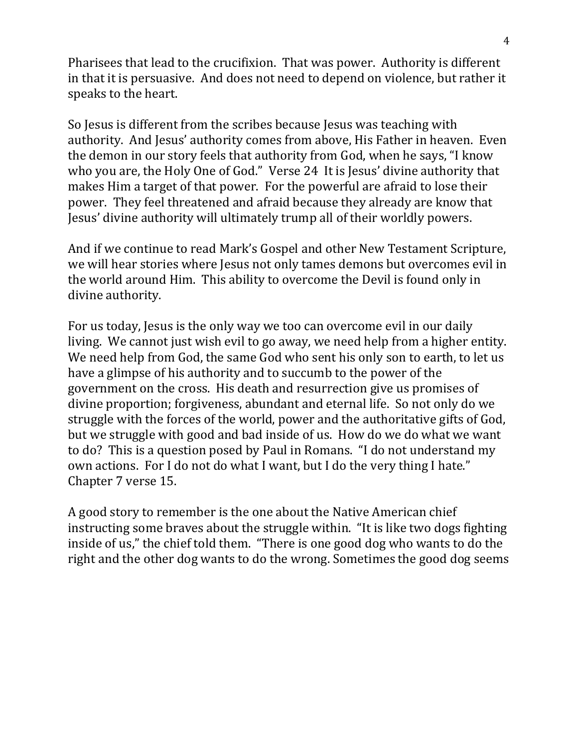Pharisees that lead to the crucifixion. That was power. Authority is different in that it is persuasive. And does not need to depend on violence, but rather it speaks to the heart.

So Jesus is different from the scribes because Jesus was teaching with authority. And Jesus' authority comes from above, His Father in heaven. Even the demon in our story feels that authority from God, when he says, "I know who you are, the Holy One of God." Verse 24 It is Jesus' divine authority that makes Him a target of that power. For the powerful are afraid to lose their power. They feel threatened and afraid because they already are know that Jesus' divine authority will ultimately trump all of their worldly powers.

And if we continue to read Mark's Gospel and other New Testament Scripture, we will hear stories where Jesus not only tames demons but overcomes evil in the world around Him. This ability to overcome the Devil is found only in divine authority.

For us today, Jesus is the only way we too can overcome evil in our daily living. We cannot just wish evil to go away, we need help from a higher entity. We need help from God, the same God who sent his only son to earth, to let us have a glimpse of his authority and to succumb to the power of the government on the cross. His death and resurrection give us promises of divine proportion; forgiveness, abundant and eternal life. So not only do we struggle with the forces of the world, power and the authoritative gifts of God, but we struggle with good and bad inside of us. How do we do what we want to do? This is a question posed by Paul in Romans. "I do not understand my own actions. For I do not do what I want, but I do the very thing I hate." Chapter 7 verse 15.

A good story to remember is the one about the Native American chief instructing some braves about the struggle within. "It is like two dogs fighting inside of us," the chief told them. "There is one good dog who wants to do the right and the other dog wants to do the wrong. Sometimes the good dog seems